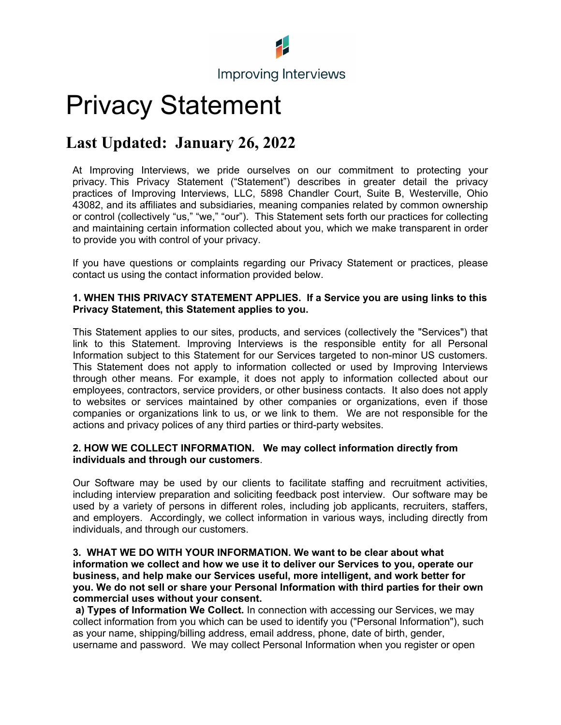

# Privacy Statement

### **Last Updated: January 26, 2022**

At Improving Interviews, we pride ourselves on our commitment to protecting your privacy. This Privacy Statement ("Statement") describes in greater detail the privacy practices of Improving Interviews, LLC, 5898 Chandler Court, Suite B, Westerville, Ohio 43082, and its affiliates and subsidiaries, meaning companies related by common ownership or control (collectively "us," "we," "our"). This Statement sets forth our practices for collecting and maintaining certain information collected about you, which we make transparent in order to provide you with control of your privacy.

If you have questions or complaints regarding our Privacy Statement or practices, please contact us using the contact information provided below.

#### **1. WHEN THIS PRIVACY STATEMENT APPLIES. If a Service you are using links to this Privacy Statement, this Statement applies to you.**

This Statement applies to our sites, products, and services (collectively the "Services") that link to this Statement. Improving Interviews is the responsible entity for all Personal Information subject to this Statement for our Services targeted to non-minor US customers. This Statement does not apply to information collected or used by Improving Interviews through other means. For example, it does not apply to information collected about our employees, contractors, service providers, or other business contacts. It also does not apply to websites or services maintained by other companies or organizations, even if those companies or organizations link to us, or we link to them. We are not responsible for the actions and privacy polices of any third parties or third-party websites.

## **2. HOW WE COLLECT INFORMATION. We may collect information directly from individuals and through our customers**.<br>Our Software may be used by our clients to facilitate staffing and recruitment activities,

including interview preparation and soliciting feedback post interview. Our software may be used by a variety of persons in different roles, including job applicants, recruiters, staffers, and employers. Accordingly, we collect information in various ways, including directly from individuals, and through our customers.

#### **3. WHAT WE DO WITH YOUR INFORMATION. We want to be clear about what information we collect and how we use it to deliver our Services to you, operate our business, and help make our Services useful, more intelligent, and work better for you. We do not sell or share your Personal Information with third parties for their own commercial uses without your consent.**

**a) Types of Information We Collect.** In connection with accessing our Services, we may collect information from you which can be used to identify you ("Personal Information"), such as your name, shipping/billing address, email address, phone, date of birth, gender, username and password. We may collect Personal Information when you register or open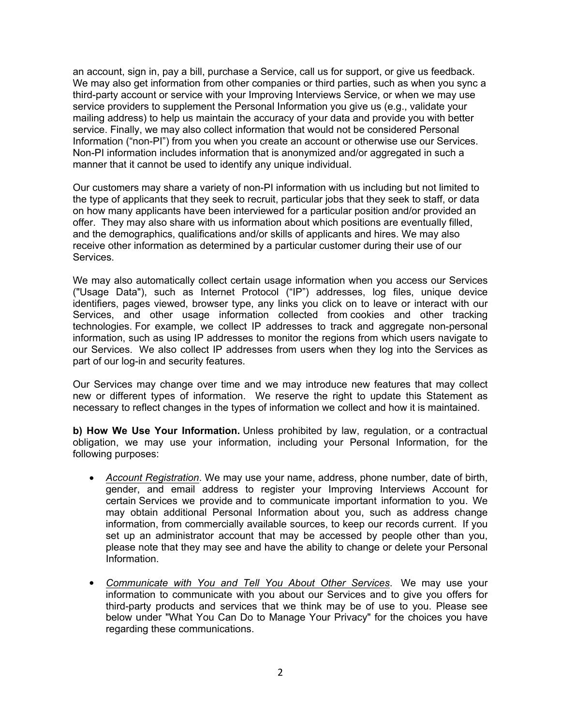an account, sign in, pay a bill, purchase a Service, call us for support, or give us feedback. We may also get information from other companies or third parties, such as when you sync a third-party account or service with your Improving Interviews Service, or when we may use service providers to supplement the Personal Information you give us (e.g., validate your mailing address) to help us maintain the accuracy of your data and provide you with better service. Finally, we may also collect information that would not be considered Personal Information ("non-PI") from you when you create an account or otherwise use our Services. Non-PI information includes information that is anonymized and/or aggregated in such a manner that it cannot be used to identify any unique individual.

Our customers may share a variety of non-PI information with us including but not limited to the type of applicants that they seek to recruit, particular jobs that they seek to staff, or data on how many applicants have been interviewed for a particular position and/or provided an offer. They may also share with us information about which positions are eventually filled, and the demographics, qualifications and/or skills of applicants and hires. We may also receive other information as determined by a particular customer during their use of our Services.

We may also automatically collect certain usage information when you access our Services ("Usage Data"), such as Internet Protocol ("IP") addresses, log files, unique device identifiers, pages viewed, browser type, any links you click on to leave or interact with our Services, and other usage information collected from cookies and other tracking technologies. For example, we collect IP addresses to track and aggregate non-personal information, such as using IP addresses to monitor the regions from which users navigate to our Services. We also collect IP addresses from users when they log into the Services as part of our log-in and security features.

Our Services may change over time and we may introduce new features that may collect new or different types of information. We reserve the right to update this Statement as necessary to reflect changes in the types of information we collect and how it is maintained.

**b) How We Use Your Information.** Unless prohibited by law, regulation, or a contractual obligation, we may use your information, including your Personal Information, for the following purposes:

- *Account Registration*. We may use your name, address, phone number, date of birth, gender, and email address to register your Improving Interviews Account for certain Services we provide and to communicate important information to you. We may obtain additional Personal Information about you, such as address change information, from commercially available sources, to keep our records current. If you set up an administrator account that may be accessed by people other than you, please note that they may see and have the ability to change or delete your Personal Information.
- *Communicate with You and Tell You About Other Services*. We may use your information to communicate with you about our Services and to give you offers for third-party products and services that we think may be of use to you. Please see below under "What You Can Do to Manage Your Privacy" for the choices you have regarding these communications.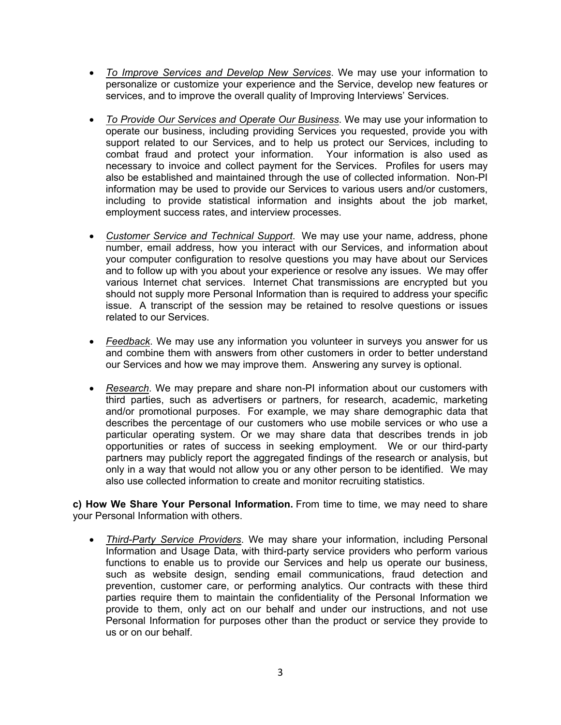- *To Improve Services and Develop New Services*. We may use your information to personalize or customize your experience and the Service, develop new features or services, and to improve the overall quality of Improving Interviews' Services.
- *To Provide Our Services and Operate Our Business*. We may use your information to operate our business, including providing Services you requested, provide you with support related to our Services, and to help us protect our Services, including to combat fraud and protect your information. Your information is also used as necessary to invoice and collect payment for the Services. Profiles for users may also be established and maintained through the use of collected information. Non-PI information may be used to provide our Services to various users and/or customers, including to provide statistical information and insights about the job market, employment success rates, and interview processes.
- *Customer Service and Technical Support*. We may use your name, address, phone number, email address, how you interact with our Services, and information about your computer configuration to resolve questions you may have about our Services and to follow up with you about your experience or resolve any issues. We may offer various Internet chat services. Internet Chat transmissions are encrypted but you should not supply more Personal Information than is required to address your specific issue. A transcript of the session may be retained to resolve questions or issues related to our Services.
- *Feedback*. We may use any information you volunteer in surveys you answer for us and combine them with answers from other customers in order to better understand our Services and how we may improve them. Answering any survey is optional.
- *Research*. We may prepare and share non-PI information about our customers with third parties, such as advertisers or partners, for research, academic, marketing and/or promotional purposes. For example, we may share demographic data that describes the percentage of our customers who use mobile services or who use a particular operating system. Or we may share data that describes trends in job opportunities or rates of success in seeking employment. We or our third-party partners may publicly report the aggregated findings of the research or analysis, but only in a way that would not allow you or any other person to be identified. We may also use collected information to create and monitor recruiting statistics.

**c) How We Share Your Personal Information.** From time to time, we may need to share your Personal Information with others.

 *Third-Party Service Providers*. We may share your information, including Personal Information and Usage Data, with third-party service providers who perform various functions to enable us to provide our Services and help us operate our business, such as website design, sending email communications, fraud detection and prevention, customer care, or performing analytics. Our contracts with these third parties require them to maintain the confidentiality of the Personal Information we provide to them, only act on our behalf and under our instructions, and not use Personal Information for purposes other than the product or service they provide to us or on our behalf.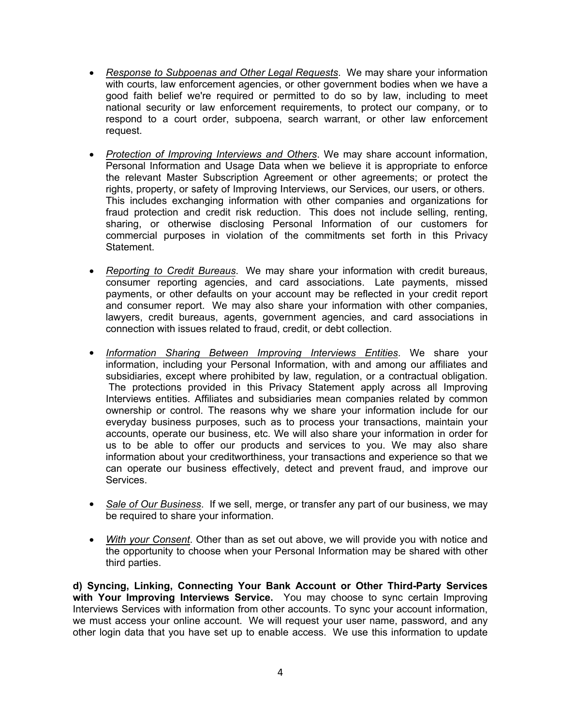- *Response to Subpoenas and Other Legal Requests*. We may share your information with courts, law enforcement agencies, or other government bodies when we have a good faith belief we're required or permitted to do so by law, including to meet national security or law enforcement requirements, to protect our company, or to respond to a court order, subpoena, search warrant, or other law enforcement request.
- *Protection of Improving Interviews and Others*. We may share account information, Personal Information and Usage Data when we believe it is appropriate to enforce the relevant Master Subscription Agreement or other agreements; or protect the rights, property, or safety of Improving Interviews, our Services, our users, or others. This includes exchanging information with other companies and organizations for fraud protection and credit risk reduction. This does not include selling, renting, sharing, or otherwise disclosing Personal Information of our customers for commercial purposes in violation of the commitments set forth in this Privacy Statement.
- *Reporting to Credit Bureaus*. We may share your information with credit bureaus, consumer reporting agencies, and card associations. Late payments, missed payments, or other defaults on your account may be reflected in your credit report and consumer report. We may also share your information with other companies, lawyers, credit bureaus, agents, government agencies, and card associations in connection with issues related to fraud, credit, or debt collection.
- *Information Sharing Between Improving Interviews Entities*. We share your information, including your Personal Information, with and among our affiliates and subsidiaries, except where prohibited by law, regulation, or a contractual obligation. The protections provided in this Privacy Statement apply across all Improving Interviews entities. Affiliates and subsidiaries mean companies related by common ownership or control. The reasons why we share your information include for our everyday business purposes, such as to process your transactions, maintain your accounts, operate our business, etc. We will also share your information in order for us to be able to offer our products and services to you. We may also share information about your creditworthiness, your transactions and experience so that we can operate our business effectively, detect and prevent fraud, and improve our Services.
- *Sale of Our Business*. If we sell, merge, or transfer any part of our business, we may be required to share your information.
- *With your Consent*. Other than as set out above, we will provide you with notice and the opportunity to choose when your Personal Information may be shared with other third parties.

**d) Syncing, Linking, Connecting Your Bank Account or Other Third-Party Services with Your Improving Interviews Service.** You may choose to sync certain Improving Interviews Services with information from other accounts. To sync your account information, we must access your online account. We will request your user name, password, and any other login data that you have set up to enable access. We use this information to update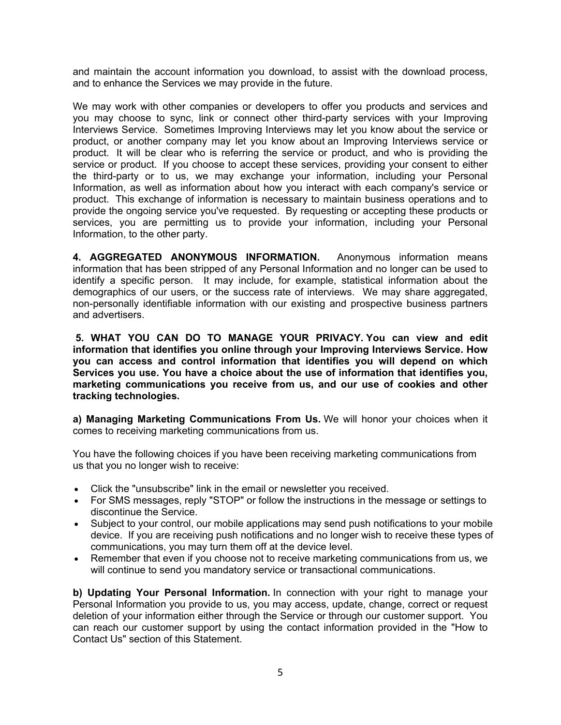and maintain the account information you download, to assist with the download process, and to enhance the Services we may provide in the future.

We may work with other companies or developers to offer you products and services and you may choose to sync, link or connect other third-party services with your Improving Interviews Service. Sometimes Improving Interviews may let you know about the service or product, or another company may let you know about an Improving Interviews service or product. It will be clear who is referring the service or product, and who is providing the service or product. If you choose to accept these services, providing your consent to either the third-party or to us, we may exchange your information, including your Personal Information, as well as information about how you interact with each company's service or product. This exchange of information is necessary to maintain business operations and to provide the ongoing service you've requested. By requesting or accepting these products or services, you are permitting us to provide your information, including your Personal Information, to the other party.

**4. AGGREGATED ANONYMOUS INFORMATION.** Anonymous information means information that has been stripped of any Personal Information and no longer can be used to identify a specific person. It may include, for example, statistical information about the demographics of our users, or the success rate of interviews. We may share aggregated, non-personally identifiable information with our existing and prospective business partners and advertisers.

**5. WHAT YOU CAN DO TO MANAGE YOUR PRIVACY. You can view and edit information that identifies you online through your Improving Interviews Service. How you can access and control information that identifies you will depend on which Services you use. You have a choice about the use of information that identifies you, marketing communications you receive from us, and our use of cookies and other tracking technologies.** 

**a) Managing Marketing Communications From Us.** We will honor your choices when it comes to receiving marketing communications from us.

You have the following choices if you have been receiving marketing communications from us that you no longer wish to receive:

- Click the "unsubscribe" link in the email or newsletter you received.
- For SMS messages, reply "STOP" or follow the instructions in the message or settings to discontinue the Service.
- Subject to your control, our mobile applications may send push notifications to your mobile device. If you are receiving push notifications and no longer wish to receive these types of communications, you may turn them off at the device level.
- Remember that even if you choose not to receive marketing communications from us, we will continue to send you mandatory service or transactional communications.

**b) Updating Your Personal Information.** In connection with your right to manage your Personal Information you provide to us, you may access, update, change, correct or request deletion of your information either through the Service or through our customer support. You can reach our customer support by using the contact information provided in the "How to Contact Us" section of this Statement.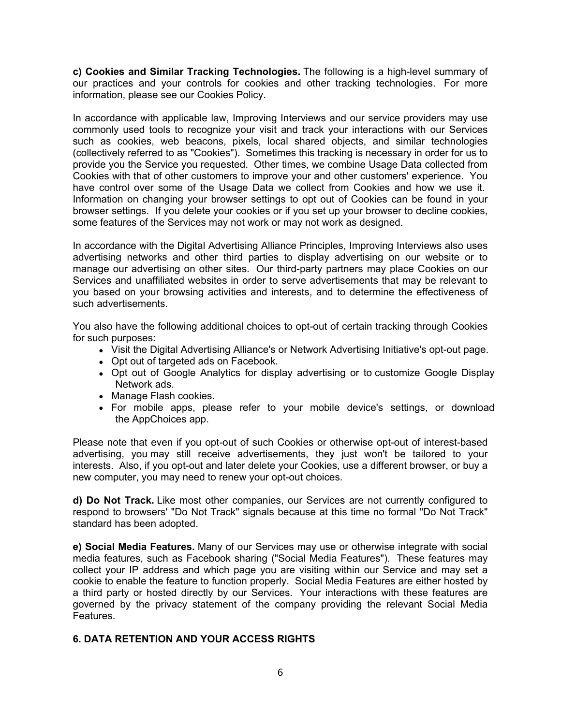**c) Cookies and Similar Tracking Technologies.** The following is a high-level summary of our practices and your controls for cookies and other tracking technologies. For more information, please see our Cookies Policy.

In accordance with applicable law, Improving Interviews and our service providers may use commonly used tools to recognize your visit and track your interactions with our Services such as cookies, web beacons, pixels, local shared objects, and similar technologies (collectively referred to as "Cookies"). Sometimes this tracking is necessary in order for us to provide you the Service you requested. Other times, we combine Usage Data collected from Cookies with that of other customers to improve your and other customers' experience. You have control over some of the Usage Data we collect from Cookies and how we use it. Information on changing your browser settings to opt out of Cookies can be found in your browser settings. If you delete your cookies or if you set up your browser to decline cookies, some features of the Services may not work or may not work as designed.

In accordance with the Digital Advertising Alliance Principles, Improving Interviews also uses advertising networks and other third parties to display advertising on our website or to manage our advertising on other sites. Our third-party partners may place Cookies on our Services and unaffiliated websites in order to serve advertisements that may be relevant to you based on your browsing activities and interests, and to determine the effectiveness of such advertisements.

You also have the following additional choices to opt-out of certain tracking through Cookies for such purposes:

- Visit the Digital Advertising Alliance's or Network Advertising Initiative's opt-out page.
- Opt out of targeted ads on Facebook.
- Opt out of Google Analytics for display advertising or to customize Google Display Network ads.
- Manage Flash cookies.
- For mobile apps, please refer to your mobile device's settings, or download the AppChoices app.

Please note that even if you opt-out of such Cookies or otherwise opt-out of interest-based advertising, you may still receive advertisements, they just won't be tailored to your interests. Also, if you opt-out and later delete your Cookies, use a different browser, or buy a new computer, you may need to renew your opt-out choices.

**d) Do Not Track.** Like most other companies, our Services are not currently configured to respond to browsers' "Do Not Track" signals because at this time no formal "Do Not Track" standard has been adopted.

**e) Social Media Features.** Many of our Services may use or otherwise integrate with social media features, such as Facebook sharing ("Social Media Features"). These features may collect your IP address and which page you are visiting within our Service and may set a cookie to enable the feature to function properly. Social Media Features are either hosted by a third party or hosted directly by our Services. Your interactions with these features are governed by the privacy statement of the company providing the relevant Social Media Features.

#### **6. DATA RETENTION AND YOUR ACCESS RIGHTS**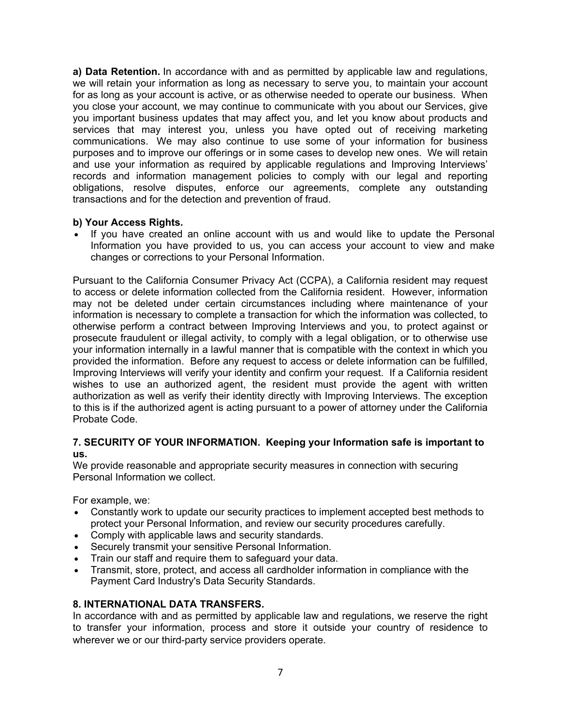**a) Data Retention.** In accordance with and as permitted by applicable law and regulations, we will retain your information as long as necessary to serve you, to maintain your account for as long as your account is active, or as otherwise needed to operate our business. When you close your account, we may continue to communicate with you about our Services, give you important business updates that may affect you, and let you know about products and services that may interest you, unless you have opted out of receiving marketing communications. We may also continue to use some of your information for business purposes and to improve our offerings or in some cases to develop new ones. We will retain and use your information as required by applicable regulations and Improving Interviews' records and information management policies to comply with our legal and reporting obligations, resolve disputes, enforce our agreements, complete any outstanding transactions and for the detection and prevention of fraud.

#### **b) Your Access Rights.**

• If you have created an online account with us and would like to update the Personal Information you have provided to us, you can access your account to view and make changes or corrections to your Personal Information.

Pursuant to the California Consumer Privacy Act (CCPA), a California resident may request to access or delete information collected from the California resident. However, information may not be deleted under certain circumstances including where maintenance of your information is necessary to complete a transaction for which the information was collected, to otherwise perform a contract between Improving Interviews and you, to protect against or prosecute fraudulent or illegal activity, to comply with a legal obligation, or to otherwise use your information internally in a lawful manner that is compatible with the context in which you provided the information. Before any request to access or delete information can be fulfilled, Improving Interviews will verify your identity and confirm your request. If a California resident wishes to use an authorized agent, the resident must provide the agent with written authorization as well as verify their identity directly with Improving Interviews. The exception to this is if the authorized agent is acting pursuant to a power of attorney under the California Probate Code.

#### **7. SECURITY OF YOUR INFORMATION. Keeping your Information safe is important to us.**

We provide reasonable and appropriate security measures in connection with securing Personal Information we collect.

For example, we:

- Constantly work to update our security practices to implement accepted best methods to protect your Personal Information, and review our security procedures carefully.
- Comply with applicable laws and security standards.
- Securely transmit your sensitive Personal Information.
- Train our staff and require them to safeguard your data.
- Transmit, store, protect, and access all cardholder information in compliance with the Payment Card Industry's Data Security Standards.

#### **8. INTERNATIONAL DATA TRANSFERS.**

In accordance with and as permitted by applicable law and regulations, we reserve the right to transfer your information, process and store it outside your country of residence to wherever we or our third-party service providers operate.